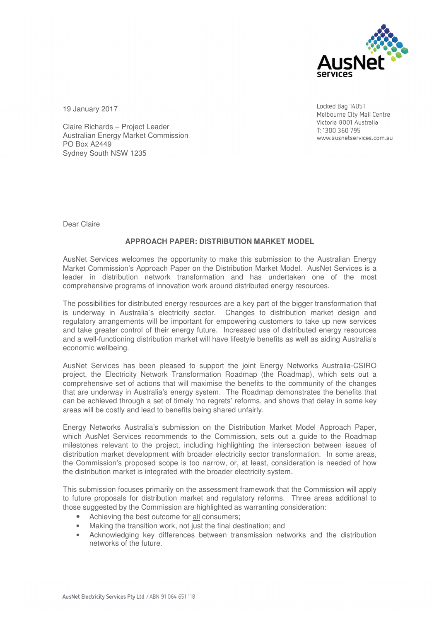

19 January 2017

Locked Bag 14051 Melbourne City Mail Centre Victoria 8001 Australia T: 1300 360 795 www.ausnetservices.com.au

Claire Richards – Project Leader Australian Energy Market Commission PO Box A2449 Sydney South NSW 1235

Dear Claire

# **APPROACH PAPER: DISTRIBUTION MARKET MODEL**

AusNet Services welcomes the opportunity to make this submission to the Australian Energy Market Commission's Approach Paper on the Distribution Market Model. AusNet Services is a leader in distribution network transformation and has undertaken one of the most comprehensive programs of innovation work around distributed energy resources.

The possibilities for distributed energy resources are a key part of the bigger transformation that is underway in Australia's electricity sector. Changes to distribution market design and regulatory arrangements will be important for empowering customers to take up new services and take greater control of their energy future. Increased use of distributed energy resources and a well-functioning distribution market will have lifestyle benefits as well as aiding Australia's economic wellbeing.

AusNet Services has been pleased to support the joint Energy Networks Australia-CSIRO project, the Electricity Network Transformation Roadmap (the Roadmap), which sets out a comprehensive set of actions that will maximise the benefits to the community of the changes that are underway in Australia's energy system. The Roadmap demonstrates the benefits that can be achieved through a set of timely 'no regrets' reforms, and shows that delay in some key areas will be costly and lead to benefits being shared unfairly.

Energy Networks Australia's submission on the Distribution Market Model Approach Paper, which AusNet Services recommends to the Commission, sets out a guide to the Roadmap milestones relevant to the project, including highlighting the intersection between issues of distribution market development with broader electricity sector transformation. In some areas, the Commission's proposed scope is too narrow, or, at least, consideration is needed of how the distribution market is integrated with the broader electricity system.

This submission focuses primarily on the assessment framework that the Commission will apply to future proposals for distribution market and regulatory reforms. Three areas additional to those suggested by the Commission are highlighted as warranting consideration:

- Achieving the best outcome for all consumers;
- Making the transition work, not just the final destination; and
- Acknowledging key differences between transmission networks and the distribution networks of the future.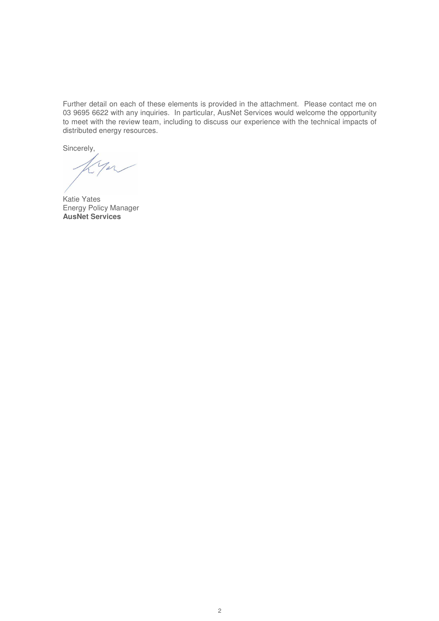Further detail on each of these elements is provided in the attachment. Please contact me on 03 9695 6622 with any inquiries. In particular, AusNet Services would welcome the opportunity to meet with the review team, including to discuss our experience with the technical impacts of distributed energy resources.

Sincerely,

Katie Yates Energy Policy Manager **AusNet Services**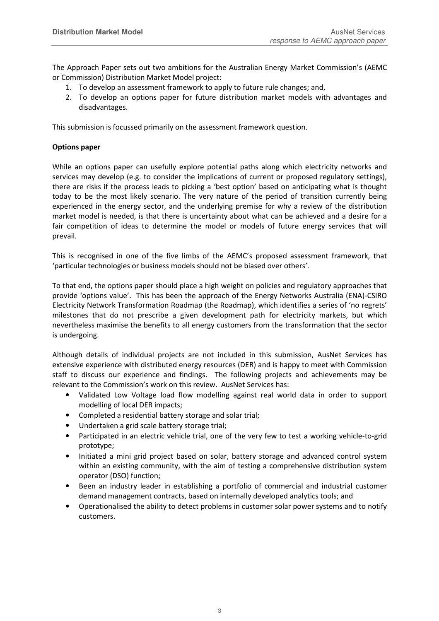The Approach Paper sets out two ambitions for the Australian Energy Market Commission's (AEMC or Commission) Distribution Market Model project:

- 1. To develop an assessment framework to apply to future rule changes; and,
- 2. To develop an options paper for future distribution market models with advantages and disadvantages.

This submission is focussed primarily on the assessment framework question.

### **Options paper**

While an options paper can usefully explore potential paths along which electricity networks and services may develop (e.g. to consider the implications of current or proposed regulatory settings), there are risks if the process leads to picking a 'best option' based on anticipating what is thought today to be the most likely scenario. The very nature of the period of transition currently being experienced in the energy sector, and the underlying premise for why a review of the distribution market model is needed, is that there is uncertainty about what can be achieved and a desire for a fair competition of ideas to determine the model or models of future energy services that will prevail.

This is recognised in one of the five limbs of the AEMC's proposed assessment framework, that 'particular technologies or business models should not be biased over others'.

To that end, the options paper should place a high weight on policies and regulatory approaches that provide 'options value'. This has been the approach of the Energy Networks Australia (ENA)-CSIRO Electricity Network Transformation Roadmap (the Roadmap), which identifies a series of 'no regrets' milestones that do not prescribe a given development path for electricity markets, but which nevertheless maximise the benefits to all energy customers from the transformation that the sector is undergoing.

Although details of individual projects are not included in this submission, AusNet Services has extensive experience with distributed energy resources (DER) and is happy to meet with Commission staff to discuss our experience and findings. The following projects and achievements may be relevant to the Commission's work on this review. AusNet Services has:

- Validated Low Voltage load flow modelling against real world data in order to support modelling of local DER impacts;
- Completed a residential battery storage and solar trial;
- Undertaken a grid scale battery storage trial;
- Participated in an electric vehicle trial, one of the very few to test a working vehicle-to-grid prototype;
- Initiated a mini grid project based on solar, battery storage and advanced control system within an existing community, with the aim of testing a comprehensive distribution system operator (DSO) function;
- Been an industry leader in establishing a portfolio of commercial and industrial customer demand management contracts, based on internally developed analytics tools; and
- Operationalised the ability to detect problems in customer solar power systems and to notify customers.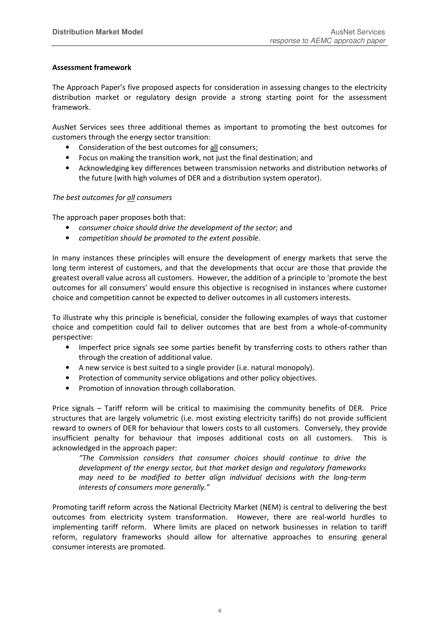# **Assessment framework**

The Approach Paper's five proposed aspects for consideration in assessing changes to the electricity distribution market or regulatory design provide a strong starting point for the assessment framework.

AusNet Services sees three additional themes as important to promoting the best outcomes for customers through the energy sector transition:

- Consideration of the best outcomes for all consumers;
- Focus on making the transition work, not just the final destination; and
- Acknowledging key differences between transmission networks and distribution networks of the future (with high volumes of DER and a distribution system operator).

# *The best outcomes for all consumers*

The approach paper proposes both that:

- *consumer choice should drive the development of the sector*; and
- *competition should be promoted to the extent possible*.

In many instances these principles will ensure the development of energy markets that serve the long term interest of customers, and that the developments that occur are those that provide the greatest overall value across all customers. However, the addition of a principle to 'promote the best outcomes for all consumers' would ensure this objective is recognised in instances where customer choice and competition cannot be expected to deliver outcomes in all customers interests.

To illustrate why this principle is beneficial, consider the following examples of ways that customer choice and competition could fail to deliver outcomes that are best from a whole-of-community perspective:

- Imperfect price signals see some parties benefit by transferring costs to others rather than through the creation of additional value.
- A new service is best suited to a single provider (i.e. natural monopoly).
- Protection of community service obligations and other policy objectives.
- Promotion of innovation through collaboration.

Price signals – Tariff reform will be critical to maximising the community benefits of DER. Price structures that are largely volumetric (i.e. most existing electricity tariffs) do not provide sufficient reward to owners of DER for behaviour that lowers costs to all customers. Conversely, they provide insufficient penalty for behaviour that imposes additional costs on all customers. This is acknowledged in the approach paper:

*"The Commission considers that consumer choices should continue to drive the development of the energy sector, but that market design and regulatory frameworks may need to be modified to better align individual decisions with the long-term interests of consumers more generally."* 

Promoting tariff reform across the National Electricity Market (NEM) is central to delivering the best outcomes from electricity system transformation. However, there are real-world hurdles to implementing tariff reform. Where limits are placed on network businesses in relation to tariff reform, regulatory frameworks should allow for alternative approaches to ensuring general consumer interests are promoted.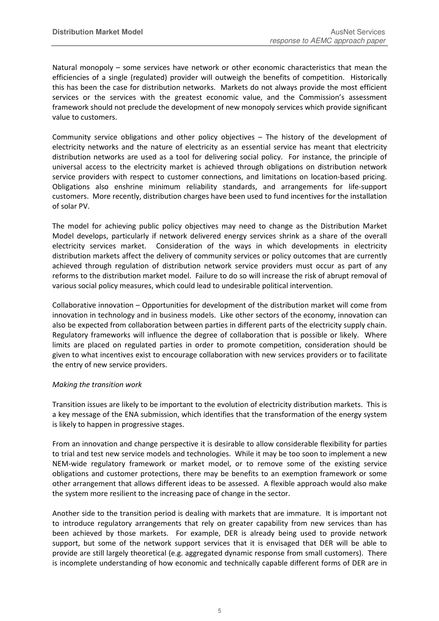Natural monopoly – some services have network or other economic characteristics that mean the efficiencies of a single (regulated) provider will outweigh the benefits of competition. Historically this has been the case for distribution networks. Markets do not always provide the most efficient services or the services with the greatest economic value, and the Commission's assessment framework should not preclude the development of new monopoly services which provide significant value to customers.

Community service obligations and other policy objectives – The history of the development of electricity networks and the nature of electricity as an essential service has meant that electricity distribution networks are used as a tool for delivering social policy. For instance, the principle of universal access to the electricity market is achieved through obligations on distribution network service providers with respect to customer connections, and limitations on location-based pricing. Obligations also enshrine minimum reliability standards, and arrangements for life-support customers. More recently, distribution charges have been used to fund incentives for the installation of solar PV.

The model for achieving public policy objectives may need to change as the Distribution Market Model develops, particularly if network delivered energy services shrink as a share of the overall electricity services market. Consideration of the ways in which developments in electricity distribution markets affect the delivery of community services or policy outcomes that are currently achieved through regulation of distribution network service providers must occur as part of any reforms to the distribution market model. Failure to do so will increase the risk of abrupt removal of various social policy measures, which could lead to undesirable political intervention.

Collaborative innovation – Opportunities for development of the distribution market will come from innovation in technology and in business models. Like other sectors of the economy, innovation can also be expected from collaboration between parties in different parts of the electricity supply chain. Regulatory frameworks will influence the degree of collaboration that is possible or likely. Where limits are placed on regulated parties in order to promote competition, consideration should be given to what incentives exist to encourage collaboration with new services providers or to facilitate the entry of new service providers.

### *Making the transition work*

Transition issues are likely to be important to the evolution of electricity distribution markets. This is a key message of the ENA submission, which identifies that the transformation of the energy system is likely to happen in progressive stages.

From an innovation and change perspective it is desirable to allow considerable flexibility for parties to trial and test new service models and technologies. While it may be too soon to implement a new NEM-wide regulatory framework or market model, or to remove some of the existing service obligations and customer protections, there may be benefits to an exemption framework or some other arrangement that allows different ideas to be assessed. A flexible approach would also make the system more resilient to the increasing pace of change in the sector.

Another side to the transition period is dealing with markets that are immature. It is important not to introduce regulatory arrangements that rely on greater capability from new services than has been achieved by those markets. For example, DER is already being used to provide network support, but some of the network support services that it is envisaged that DER will be able to provide are still largely theoretical (e.g. aggregated dynamic response from small customers). There is incomplete understanding of how economic and technically capable different forms of DER are in